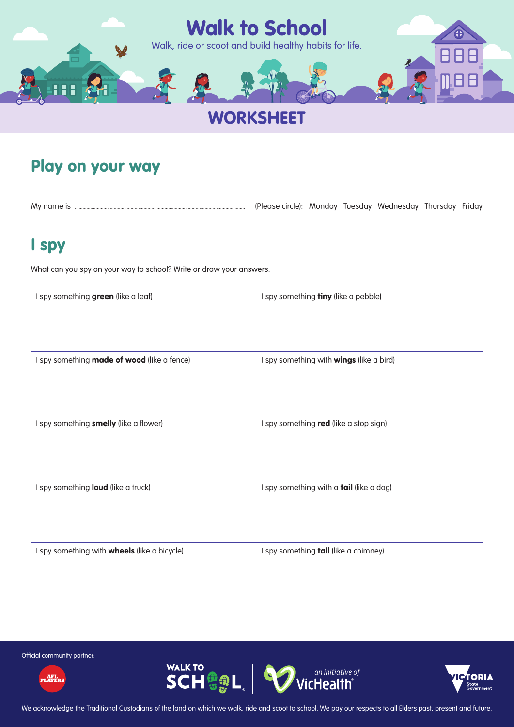

# **WORKSHEET**

## Play on your way

My name is ................................................................................................................................... (Please circle): Monday Tuesday Wednesday Thursday Friday

## I spy

What can you spy on your way to school? Write or draw your answers.

| I spy something green (like a leaf)                 | I spy something tiny (like a pebble)     |
|-----------------------------------------------------|------------------------------------------|
| I spy something made of wood (like a fence)         | I spy something with wings (like a bird) |
| I spy something smelly (like a flower)              | I spy something red (like a stop sign)   |
| I spy something loud (like a truck)                 | I spy something with a tail (like a dog) |
| I spy something with <b>wheels</b> (like a bicycle) | I spy something tall (like a chimney)    |

Official community partner:







We acknowledge the Traditional Custodians of the land on which we walk, ride and scoot to school. We pay our respects to all Elders past, present and future.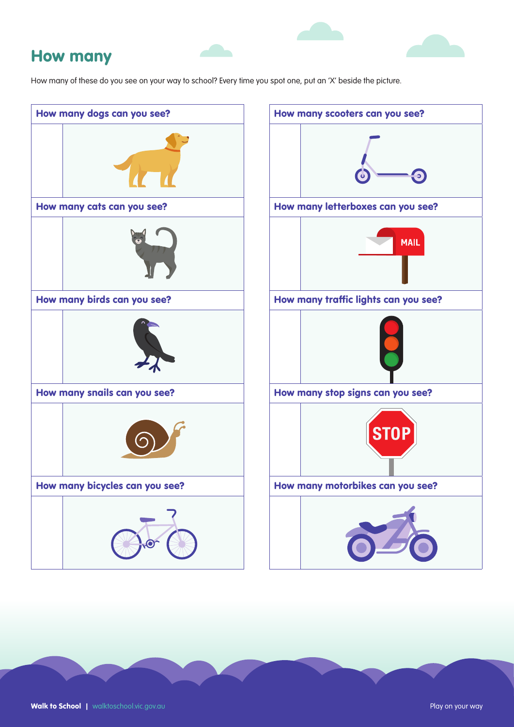#### How many

How many of these do you see on your way to school? Every time you spot one, put an 'X' beside the picture.

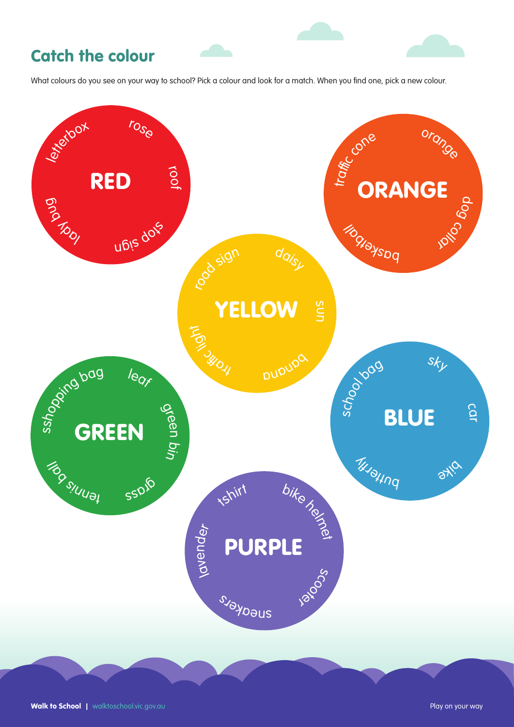## Catch the colour

What colours do you see on your way to school? Pick a colour and look for a match. When you find one, pick a new colour.